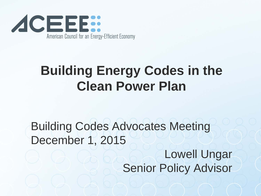

### **Building Energy Codes in the Clean Power Plan**

Building Codes Advocates Meeting December 1, 2015 Lowell Ungar Senior Policy Advisor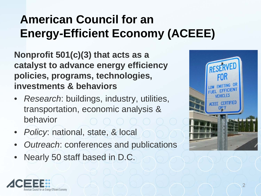### **American Council for an Energy-Efficient Economy (ACEEE)**

**Nonprofit 501(c)(3) that acts as a catalyst to advance energy efficiency policies, programs, technologies, investments & behaviors**

- *Research*: buildings, industry, utilities, transportation, economic analysis & behavior
- *Policy*: national, state, & local
- *Outreach*: conferences and publications
- Nearly 50 staff based in D.C.



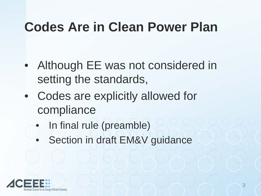## **Codes Are in Clean Power Plan**

- Although EE was not considered in setting the standards,
- Codes are explicitly allowed for compliance
	- In final rule (preamble)
	- Section in draft EM&V guidance

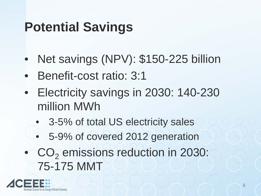## **Potential Savings**

- Net savings (NPV): \$150-225 billion
- Benefit-cost ratio: 3:1
- Electricity savings in 2030: 140-230 million MWh
	- 3-5% of total US electricity sales
	- 5-9% of covered 2012 generation
- CO<sub>2</sub> emissions reduction in 2030: 75-175 MMT

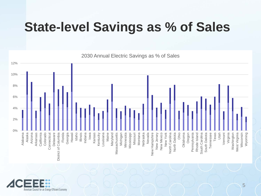### **State-level Savings as % of Sales**

2030 Annual Electric Savings as % of Sales 12% 10% 8% 6% 4% 2% 0% Alaska Georgia Illinois Montana Nevada Oregon Texas Florida Idaho Indiana Iowa Maine Ohio Utah Alabama Arizona Arkansas California Colorado Connecticut Delaware District of Columbia Hawaii Kansas Kentucky Louisiana Maryland Massachusetts Michigan Minnesota Mississippi Missouri Nebraska New Hampshire New Jersey New Mexico New York New York North Carolina North Dakota Oklahoma Pennsylvania Rhode Island South Carolina South Dakota Tennessee Vermont Virginia Washington West Virginia Wisconsin Wyoming Alabama Arkansas California Connecticut Delaware District of Columbia Louisiana **Massachusetts** Minnesota Mississippi Nebraska New Hampshire New Jersey New Mexico North Carolina North Dakota Oklahoma Pennsylvania Rhode Island South Carolina South Dakota Tennessee Washington West Virginia Wisconsin

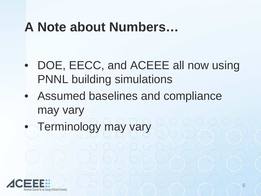### **A Note about Numbers…**

- DOE, EECC, and ACEEE all now using PNNL building simulations
- Assumed baselines and compliance may vary
- Terminology may vary

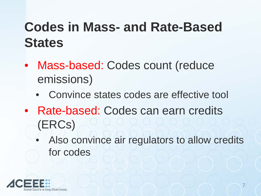## **Codes in Mass- and Rate-Based States**

- Mass-based: Codes count (reduce emissions)
	- Convince states codes are effective tool
- Rate-based: Codes can earn credits (ERCs)
	- Also convince air regulators to allow credits for codes

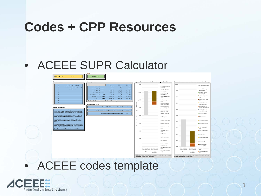### **Codes + CPP Resources**

### • ACEEE SUPR Calculator

Detailed results

**State selected** 

Visible



### • ACEEE codes template

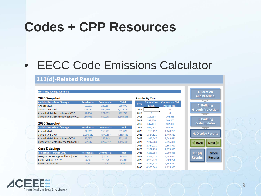### **Codes + CPP Resources**

### • EECC Code Emissions Calculator

R

### 111(d)-Related Results

#### **Electricity Savings Summary**

| 2020 Snapshot                        |                    |                   |              |
|--------------------------------------|--------------------|-------------------|--------------|
| <b>Avoided Emissions / Energy</b>    | <b>Residential</b> | <b>Commercial</b> | <b>Total</b> |
| <b>Annual MWh</b>                    | 66,891             | 242,184           | 309,075      |
| <b>Cumulative MWh</b>                | 279.897            | 975.260           | 1,255,157    |
| Annual Metric Metric tons of CO2     | 61,194             | 221,559           | 282,753      |
| Cumulative Metric Metric tons of CO2 | 256.061            | 892,205           | 1.148.265    |

#### 2030 Snapshot

| <b>Avoided Emissions / Energy</b>    | <b>Residential</b> | <b>Commercial</b> | <b>Total</b> |  |
|--------------------------------------|--------------------|-------------------|--------------|--|
| <b>Annual MWh</b>                    | 71,802             | 259,221           | 331,023      |  |
| <b>Cumulative MWh</b>                | 1,008,262          | 3,577,587         | 4,585,849    |  |
| Annual Metric Metric tons of CO2     | 65.687             | 237.145           | 302.832      |  |
| Cumulative Metric Metric tons of CO2 | 922.397            | 3.272.912         | 4,195,309    |  |

#### **Cost & Savings**

| <b>Projections Through 2040</b>       | <b>Residential</b> | Commercial | <b>Total</b> |
|---------------------------------------|--------------------|------------|--------------|
| Energy Cost Savings (Millions \$ NPV) | <b>S1.743</b>      | \$3,226    | \$4,969      |
| Costs (Millions \$ NPV)               | \$796              | \$1,764    | \$2,560      |
| Benefit-Cost Ratio                    | 2.19               | 1.83       | 1.94         |

| esults By Year |                                 |                                        |  |
|----------------|---------------------------------|----------------------------------------|--|
| Year           | <b>Cumulative</b><br><b>MWh</b> | <b>Cumulative CO2</b><br>(Metric tons) |  |
| 2014           | 0                               | 0                                      |  |
| 2015           | 0                               | 0                                      |  |
| 2016           | 111,884                         | 102,356                                |  |
| 2017           | 331,430                         | 303,205                                |  |
| 2018           | 637,184                         | 582,920                                |  |
| 2019           | 946,083                         | 865,512                                |  |
| 2020           | 1,255,157                       | 1,148,265                              |  |
| 2021           | 1,584,521                       | 1,449,580                              |  |
| 2022           | 1,912,547                       | 1,749,671                              |  |
| 2023           | 2,247,268                       | 2,055,886                              |  |
| 2024           | 2,584,021                       | 2,363,960                              |  |
| 2025           | 2,922,436                       | 2,673,555                              |  |
| 2026           | 3,258,354                       | 2,980,866                              |  |
| 2027           | 3,591,513                       | 3,285,652                              |  |
| 2028           | 3,923,379                       | 3,589,256                              |  |
| 2029           | 4,254,827                       | 3,892,477                              |  |
| 2030           | 4.585.849                       | 4.195.309                              |  |



American Council for an Energy-Efficient Economy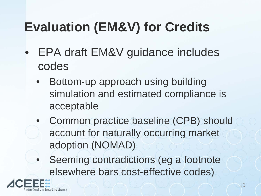# **Evaluation (EM&V) for Credits**

- EPA draft EM&V guidance includes codes
	- Bottom-up approach using building simulation and estimated compliance is acceptable
	- Common practice baseline (CPB) should account for naturally occurring market adoption (NOMAD)
		- Seeming contradictions (eg a footnote elsewhere bars cost-effective codes)

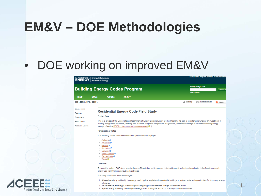### **EM&V – DOE Methodologies**

### • DOE working on improved EM&V

| U.S. DEPARTMENT OF Energy Efficiency &       |                                                                                                                                                                                                                                                                                                                                                             |          | EERE Home   Programs & Offices   Consumer Infor |                |
|----------------------------------------------|-------------------------------------------------------------------------------------------------------------------------------------------------------------------------------------------------------------------------------------------------------------------------------------------------------------------------------------------------------------|----------|-------------------------------------------------|----------------|
|                                              | <b>Building Energy Codes Program</b>                                                                                                                                                                                                                                                                                                                        |          | <b>Building Energy Codes</b>                    |                |
| <b>HOME</b>                                  | <b>NEWS</b><br><b>EVENTS</b><br><b>ABOUT</b>                                                                                                                                                                                                                                                                                                                |          | Search Help                                     |                |
| DOE » EERE » BTO » BECP »                    |                                                                                                                                                                                                                                                                                                                                                             | Site Map | <b>最 Printable Version</b>                      | <b>D</b> SHARE |
| <b>DEVELOPMENT</b><br>ADDIFTION              | <b>Residential Energy Code Field Study</b>                                                                                                                                                                                                                                                                                                                  |          |                                                 |                |
| COMPLIANCE                                   | <b>Project Goal</b>                                                                                                                                                                                                                                                                                                                                         |          |                                                 |                |
| <b>REGULATIONS</b><br><b>RESOURCE CENTER</b> | This is a project of the United States Department of Energy Building Energy Codes Program. Its goal is to determine whether an investment in<br>building energy code education, training, and outreach programs can produce a significant, measurable change in residential building energy<br>savings. (See the DOE funding opportunity announcement (3).) |          |                                                 |                |
|                                              | <b>Participating States</b>                                                                                                                                                                                                                                                                                                                                 |          |                                                 |                |
|                                              | The following states have been selected to participate in the project.                                                                                                                                                                                                                                                                                      |          |                                                 |                |
|                                              | Alabama d <sup>a</sup><br>٠<br>• Arkansas r<br>• Georgia d <sup>p</sup><br>Kentucky iP<br>· Maryland fi <sup>p</sup><br>• North Carolina fill<br>• Pennsylvania d <sup>3</sup><br>$-$ Texas $\triangle$                                                                                                                                                     |          |                                                 |                |
|                                              | Overview                                                                                                                                                                                                                                                                                                                                                    |          |                                                 |                |
|                                              | Through the project, DOE plans to establish a sufficient data set to represent statewide construction trends and detect significant changes in<br>energy use from training and outreach activities.                                                                                                                                                         |          |                                                 |                |
|                                              | The study comprises three main stages:                                                                                                                                                                                                                                                                                                                      |          |                                                 |                |
|                                              | 1. A baseline study to identify the energy use in typical single-family residential buildings in a given state and opportunities for improving energy                                                                                                                                                                                                       |          |                                                 |                |



- efficiency
- 2. An education, training & outreach phase targeting issues identified through the baseline study
- 3. A post- study to identify the change in energy use following the education, training & outreach activities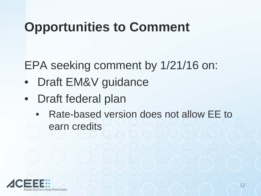## **Opportunities to Comment**

EPA seeking comment by 1/21/16 on:

- Draft EM&V guidance
- Draft federal plan
	- Rate-based version does not allow EE to earn credits

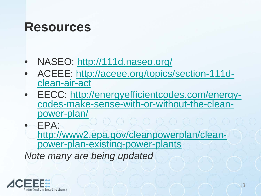### **Resources**

- NASEO: <http://111d.naseo.org/>
- [ACEEE: http://aceee.org/topics/section-111d-](http://aceee.org/topics/section-111d-clean-air-act) clean-air-act
- [EECC: http://energyefficientcodes.com/energy-](http://energyefficientcodes.com/energy-codes-make-sense-with-or-without-the-clean-power-plan/)<br>codes-make-sense-with-or-without-the-clean-<br>power-plan/

 $-$  EPA: [http://www2.epa.gov/cleanpowerplan/clean-](http://www2.epa.gov/cleanpowerplan/clean-power-plan-existing-power-plants)<br>power-plan-existing-power-plants *Note many are being updated*

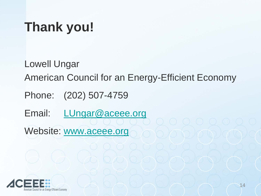## **Thank you!**

Lowell Ungar

American Council for an Energy-Efficient Economy

Phone: (202) 507-4759

Email: [LUngar@aceee.org](mailto:LUngar@aceee.org)

Website: [www.aceee.org](http://www.aceee.org/)

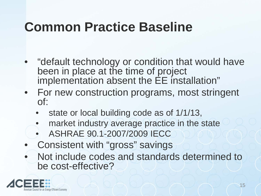## **Common Practice Baseline**

- "default technology or condition that would have been in place at the time of project implementation absent the EE installation"
- For new construction programs, most stringent of:
	- state or local building code as of 1/1/13,
	- market industry average practice in the state
	- ASHRAE 90.1-2007/2009 IECC
- Consistent with "gross" savings
- Not include codes and standards determined to be cost-effective?